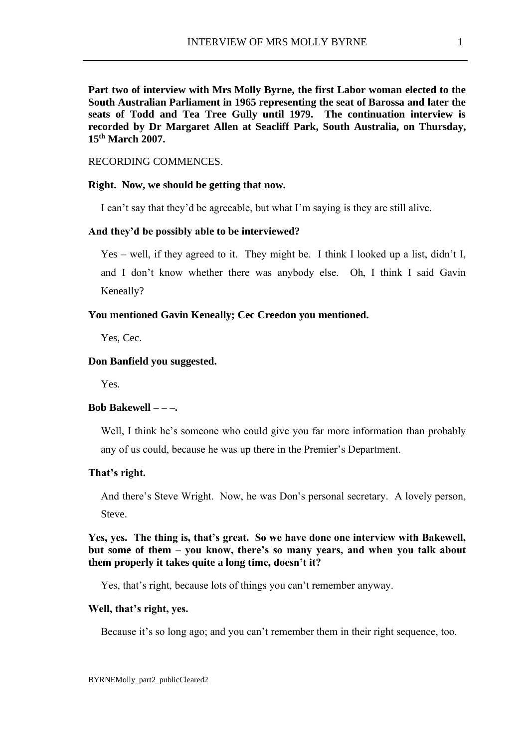**Part two of interview with Mrs Molly Byrne, the first Labor woman elected to the South Australian Parliament in 1965 representing the seat of Barossa and later the seats of Todd and Tea Tree Gully until 1979. The continuation interview is recorded by Dr Margaret Allen at Seacliff Park, South Australia, on Thursday, 15th March 2007.** 

## RECORDING COMMENCES.

### **Right. Now, we should be getting that now.**

I can't say that they'd be agreeable, but what I'm saying is they are still alive.

### **And they'd be possibly able to be interviewed?**

Yes – well, if they agreed to it. They might be. I think I looked up a list, didn't I, and I don't know whether there was anybody else. Oh, I think I said Gavin Keneally?

### **You mentioned Gavin Keneally; Cec Creedon you mentioned.**

Yes, Cec.

### **Don Banfield you suggested.**

Yes.

### **Bob Bakewell – – –.**

Well, I think he's someone who could give you far more information than probably any of us could, because he was up there in the Premier's Department.

### **That's right.**

And there's Steve Wright. Now, he was Don's personal secretary. A lovely person, **Steve**.

**Yes, yes. The thing is, that's great. So we have done one interview with Bakewell, but some of them – you know, there's so many years, and when you talk about them properly it takes quite a long time, doesn't it?**

Yes, that's right, because lots of things you can't remember anyway.

#### **Well, that's right, yes.**

Because it's so long ago; and you can't remember them in their right sequence, too.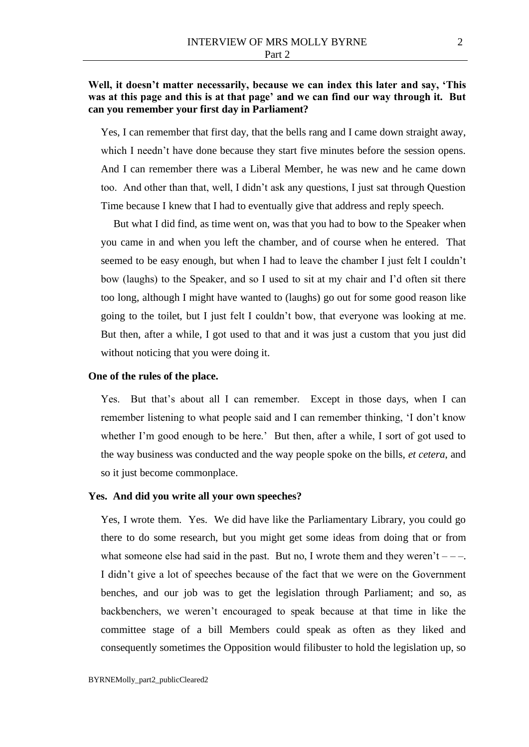## **Well, it doesn't matter necessarily, because we can index this later and say, 'This was at this page and this is at that page' and we can find our way through it. But can you remember your first day in Parliament?**

Yes, I can remember that first day, that the bells rang and I came down straight away, which I needn't have done because they start five minutes before the session opens. And I can remember there was a Liberal Member, he was new and he came down too. And other than that, well, I didn't ask any questions, I just sat through Question Time because I knew that I had to eventually give that address and reply speech.

But what I did find, as time went on, was that you had to bow to the Speaker when you came in and when you left the chamber, and of course when he entered. That seemed to be easy enough, but when I had to leave the chamber I just felt I couldn't bow (laughs) to the Speaker, and so I used to sit at my chair and I'd often sit there too long, although I might have wanted to (laughs) go out for some good reason like going to the toilet, but I just felt I couldn't bow, that everyone was looking at me. But then, after a while, I got used to that and it was just a custom that you just did without noticing that you were doing it.

### **One of the rules of the place.**

Yes. But that's about all I can remember. Except in those days, when I can remember listening to what people said and I can remember thinking, 'I don't know whether I'm good enough to be here.' But then, after a while, I sort of got used to the way business was conducted and the way people spoke on the bills, *et cetera*, and so it just become commonplace.

### **Yes. And did you write all your own speeches?**

Yes, I wrote them. Yes. We did have like the Parliamentary Library, you could go there to do some research, but you might get some ideas from doing that or from what someone else had said in the past. But no, I wrote them and they weren't  $---$ . I didn't give a lot of speeches because of the fact that we were on the Government benches, and our job was to get the legislation through Parliament; and so, as backbenchers, we weren't encouraged to speak because at that time in like the committee stage of a bill Members could speak as often as they liked and consequently sometimes the Opposition would filibuster to hold the legislation up, so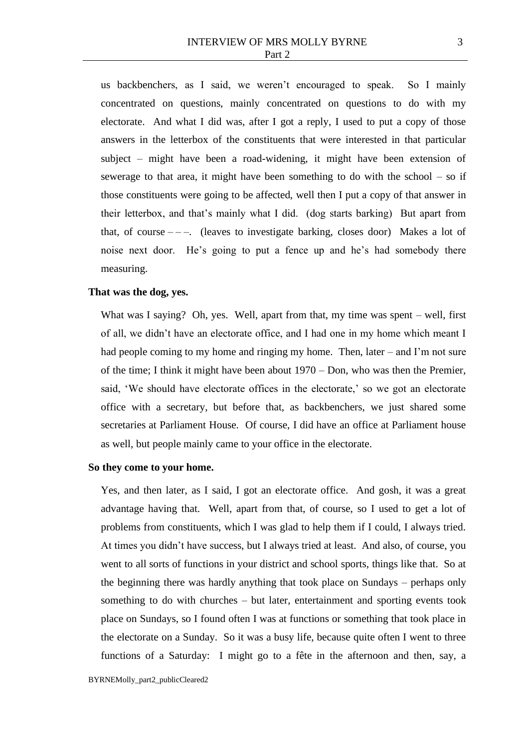us backbenchers, as I said, we weren't encouraged to speak. So I mainly concentrated on questions, mainly concentrated on questions to do with my electorate. And what I did was, after I got a reply, I used to put a copy of those answers in the letterbox of the constituents that were interested in that particular subject – might have been a road-widening, it might have been extension of sewerage to that area, it might have been something to do with the school – so if those constituents were going to be affected, well then I put a copy of that answer in their letterbox, and that's mainly what I did. (dog starts barking) But apart from that, of course  $---$ . (leaves to investigate barking, closes door) Makes a lot of noise next door. He's going to put a fence up and he's had somebody there measuring.

### **That was the dog, yes.**

What was I saying? Oh, yes. Well, apart from that, my time was spent – well, first of all, we didn't have an electorate office, and I had one in my home which meant I had people coming to my home and ringing my home. Then, later – and I'm not sure of the time; I think it might have been about 1970 – Don, who was then the Premier, said, 'We should have electorate offices in the electorate,' so we got an electorate office with a secretary, but before that, as backbenchers, we just shared some secretaries at Parliament House. Of course, I did have an office at Parliament house as well, but people mainly came to your office in the electorate.

### **So they come to your home.**

Yes, and then later, as I said, I got an electorate office. And gosh, it was a great advantage having that. Well, apart from that, of course, so I used to get a lot of problems from constituents, which I was glad to help them if I could, I always tried. At times you didn't have success, but I always tried at least. And also, of course, you went to all sorts of functions in your district and school sports, things like that. So at the beginning there was hardly anything that took place on Sundays – perhaps only something to do with churches – but later, entertainment and sporting events took place on Sundays, so I found often I was at functions or something that took place in the electorate on a Sunday. So it was a busy life, because quite often I went to three functions of a Saturday: I might go to a fête in the afternoon and then, say, a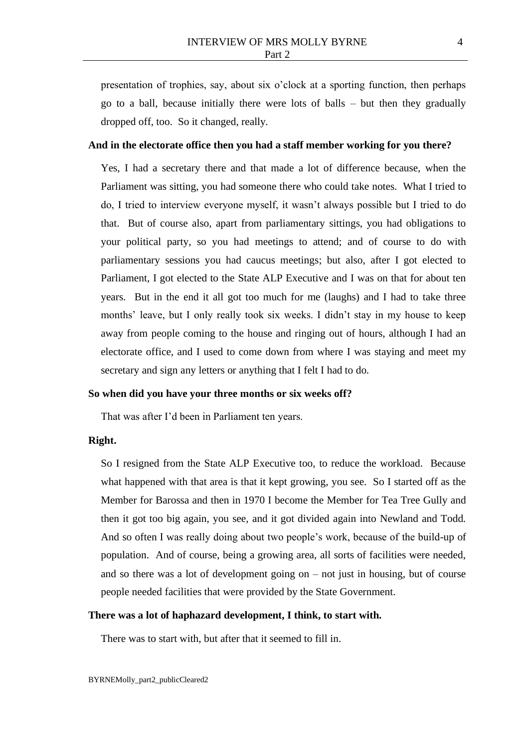presentation of trophies, say, about six o'clock at a sporting function, then perhaps go to a ball, because initially there were lots of balls – but then they gradually dropped off, too. So it changed, really.

### **And in the electorate office then you had a staff member working for you there?**

Yes, I had a secretary there and that made a lot of difference because, when the Parliament was sitting, you had someone there who could take notes. What I tried to do, I tried to interview everyone myself, it wasn't always possible but I tried to do that. But of course also, apart from parliamentary sittings, you had obligations to your political party, so you had meetings to attend; and of course to do with parliamentary sessions you had caucus meetings; but also, after I got elected to Parliament, I got elected to the State ALP Executive and I was on that for about ten years. But in the end it all got too much for me (laughs) and I had to take three months' leave, but I only really took six weeks. I didn't stay in my house to keep away from people coming to the house and ringing out of hours, although I had an electorate office, and I used to come down from where I was staying and meet my secretary and sign any letters or anything that I felt I had to do.

### **So when did you have your three months or six weeks off?**

That was after I'd been in Parliament ten years.

#### **Right.**

So I resigned from the State ALP Executive too, to reduce the workload. Because what happened with that area is that it kept growing, you see. So I started off as the Member for Barossa and then in 1970 I become the Member for Tea Tree Gully and then it got too big again, you see, and it got divided again into Newland and Todd. And so often I was really doing about two people's work, because of the build-up of population. And of course, being a growing area, all sorts of facilities were needed, and so there was a lot of development going on – not just in housing, but of course people needed facilities that were provided by the State Government.

### **There was a lot of haphazard development, I think, to start with.**

There was to start with, but after that it seemed to fill in.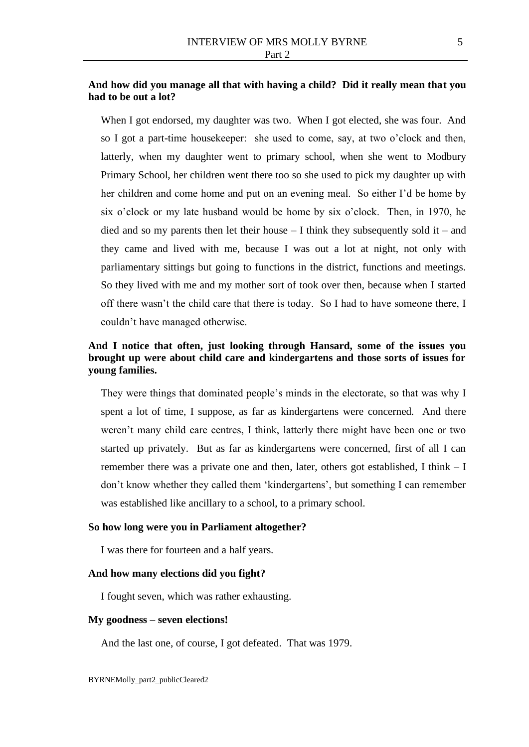## **And how did you manage all that with having a child? Did it really mean that you had to be out a lot?**

When I got endorsed, my daughter was two. When I got elected, she was four. And so I got a part-time housekeeper: she used to come, say, at two o'clock and then, latterly, when my daughter went to primary school, when she went to Modbury Primary School, her children went there too so she used to pick my daughter up with her children and come home and put on an evening meal. So either I'd be home by six o'clock or my late husband would be home by six o'clock. Then, in 1970, he died and so my parents then let their house  $-$  I think they subsequently sold it – and they came and lived with me, because I was out a lot at night, not only with parliamentary sittings but going to functions in the district, functions and meetings. So they lived with me and my mother sort of took over then, because when I started off there wasn't the child care that there is today. So I had to have someone there, I couldn't have managed otherwise.

## **And I notice that often, just looking through Hansard, some of the issues you brought up were about child care and kindergartens and those sorts of issues for young families.**

They were things that dominated people's minds in the electorate, so that was why I spent a lot of time, I suppose, as far as kindergartens were concerned. And there weren't many child care centres, I think, latterly there might have been one or two started up privately. But as far as kindergartens were concerned, first of all I can remember there was a private one and then, later, others got established, I think – I don't know whether they called them 'kindergartens', but something I can remember was established like ancillary to a school, to a primary school.

### **So how long were you in Parliament altogether?**

I was there for fourteen and a half years.

### **And how many elections did you fight?**

I fought seven, which was rather exhausting.

### **My goodness – seven elections!**

And the last one, of course, I got defeated. That was 1979.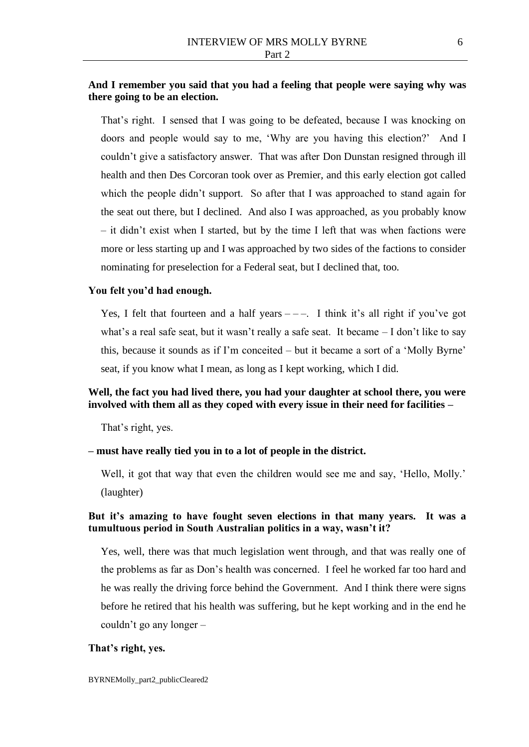## **And I remember you said that you had a feeling that people were saying why was there going to be an election.**

That's right. I sensed that I was going to be defeated, because I was knocking on doors and people would say to me, 'Why are you having this election?' And I couldn't give a satisfactory answer. That was after Don Dunstan resigned through ill health and then Des Corcoran took over as Premier, and this early election got called which the people didn't support. So after that I was approached to stand again for the seat out there, but I declined. And also I was approached, as you probably know – it didn't exist when I started, but by the time I left that was when factions were more or less starting up and I was approached by two sides of the factions to consider nominating for preselection for a Federal seat, but I declined that, too.

### **You felt you'd had enough.**

Yes, I felt that fourteen and a half years  $---$ . I think it's all right if you've got what's a real safe seat, but it wasn't really a safe seat. It became – I don't like to say this, because it sounds as if I'm conceited – but it became a sort of a 'Molly Byrne' seat, if you know what I mean, as long as I kept working, which I did.

## **Well, the fact you had lived there, you had your daughter at school there, you were involved with them all as they coped with every issue in their need for facilities –**

That's right, yes.

### **– must have really tied you in to a lot of people in the district.**

Well, it got that way that even the children would see me and say, 'Hello, Molly.' (laughter)

## **But it's amazing to have fought seven elections in that many years. It was a tumultuous period in South Australian politics in a way, wasn't it?**

Yes, well, there was that much legislation went through, and that was really one of the problems as far as Don's health was concerned. I feel he worked far too hard and he was really the driving force behind the Government. And I think there were signs before he retired that his health was suffering, but he kept working and in the end he couldn't go any longer –

### **That's right, yes.**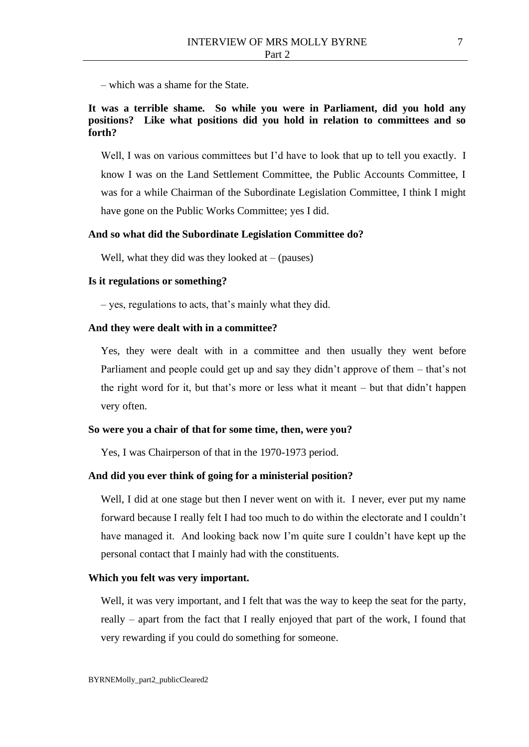– which was a shame for the State.

## **It was a terrible shame. So while you were in Parliament, did you hold any positions? Like what positions did you hold in relation to committees and so forth?**

Well, I was on various committees but I'd have to look that up to tell you exactly. I know I was on the Land Settlement Committee, the Public Accounts Committee, I was for a while Chairman of the Subordinate Legislation Committee, I think I might have gone on the Public Works Committee; yes I did.

#### **And so what did the Subordinate Legislation Committee do?**

Well, what they did was they looked at  $-$  (pauses)

### **Is it regulations or something?**

– yes, regulations to acts, that's mainly what they did.

### **And they were dealt with in a committee?**

Yes, they were dealt with in a committee and then usually they went before Parliament and people could get up and say they didn't approve of them – that's not the right word for it, but that's more or less what it meant – but that didn't happen very often.

### **So were you a chair of that for some time, then, were you?**

Yes, I was Chairperson of that in the 1970-1973 period.

### **And did you ever think of going for a ministerial position?**

Well, I did at one stage but then I never went on with it. I never, ever put my name forward because I really felt I had too much to do within the electorate and I couldn't have managed it. And looking back now I'm quite sure I couldn't have kept up the personal contact that I mainly had with the constituents.

### **Which you felt was very important.**

Well, it was very important, and I felt that was the way to keep the seat for the party, really – apart from the fact that I really enjoyed that part of the work, I found that very rewarding if you could do something for someone.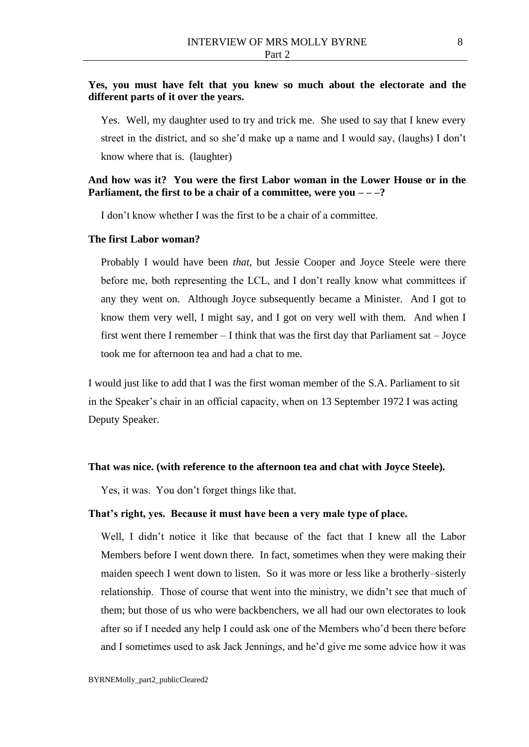## **Yes, you must have felt that you knew so much about the electorate and the different parts of it over the years.**

Yes. Well, my daughter used to try and trick me. She used to say that I knew every street in the district, and so she'd make up a name and I would say, (laughs) I don't know where that is. (laughter)

## **And how was it? You were the first Labor woman in the Lower House or in the Parliament, the first to be a chair of a committee, were you – – –?**

I don't know whether I was the first to be a chair of a committee.

### **The first Labor woman?**

Probably I would have been *that*, but Jessie Cooper and Joyce Steele were there before me, both representing the LCL, and I don't really know what committees if any they went on. Although Joyce subsequently became a Minister. And I got to know them very well, I might say, and I got on very well with them. And when I first went there I remember – I think that was the first day that Parliament sat – Joyce took me for afternoon tea and had a chat to me.

I would just like to add that I was the first woman member of the S.A. Parliament to sit in the Speaker's chair in an official capacity, when on 13 September 1972 I was acting Deputy Speaker.

#### **That was nice. (with reference to the afternoon tea and chat with Joyce Steele).**

Yes, it was. You don't forget things like that.

### **That's right, yes. Because it must have been a very male type of place.**

Well, I didn't notice it like that because of the fact that I knew all the Labor Members before I went down there. In fact, sometimes when they were making their maiden speech I went down to listen. So it was more or less like a brotherly–sisterly relationship. Those of course that went into the ministry, we didn't see that much of them; but those of us who were backbenchers, we all had our own electorates to look after so if I needed any help I could ask one of the Members who'd been there before and I sometimes used to ask Jack Jennings, and he'd give me some advice how it was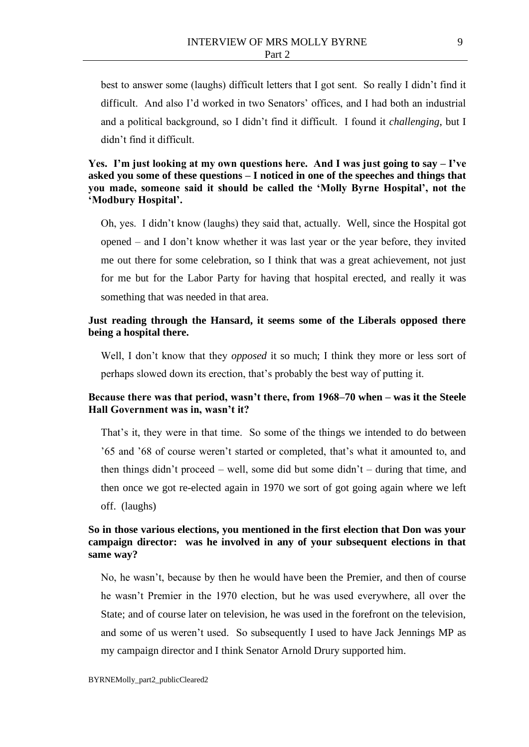best to answer some (laughs) difficult letters that I got sent. So really I didn't find it difficult. And also I'd worked in two Senators' offices, and I had both an industrial and a political background, so I didn't find it difficult. I found it *challenging*, but I didn't find it difficult.

**Yes. I'm just looking at my own questions here. And I was just going to say – I've asked you some of these questions – I noticed in one of the speeches and things that you made, someone said it should be called the 'Molly Byrne Hospital', not the 'Modbury Hospital'.**

Oh, yes. I didn't know (laughs) they said that, actually. Well, since the Hospital got opened – and I don't know whether it was last year or the year before, they invited me out there for some celebration, so I think that was a great achievement, not just for me but for the Labor Party for having that hospital erected, and really it was something that was needed in that area.

## **Just reading through the Hansard, it seems some of the Liberals opposed there being a hospital there.**

Well, I don't know that they *opposed* it so much; I think they more or less sort of perhaps slowed down its erection, that's probably the best way of putting it.

## **Because there was that period, wasn't there, from 1968–70 when – was it the Steele Hall Government was in, wasn't it?**

That's it, they were in that time. So some of the things we intended to do between '65 and '68 of course weren't started or completed, that's what it amounted to, and then things didn't proceed – well, some did but some didn't – during that time, and then once we got re-elected again in 1970 we sort of got going again where we left off. (laughs)

## **So in those various elections, you mentioned in the first election that Don was your campaign director: was he involved in any of your subsequent elections in that same way?**

No, he wasn't, because by then he would have been the Premier, and then of course he wasn't Premier in the 1970 election, but he was used everywhere, all over the State; and of course later on television, he was used in the forefront on the television, and some of us weren't used. So subsequently I used to have Jack Jennings MP as my campaign director and I think Senator Arnold Drury supported him.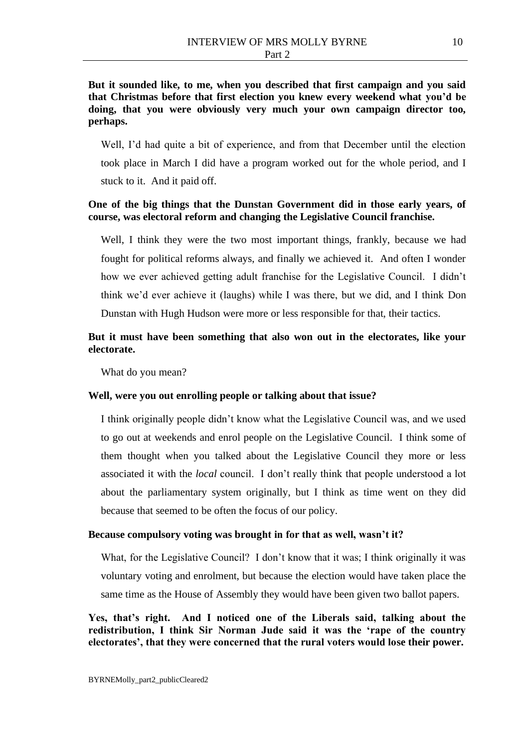## **But it sounded like, to me, when you described that first campaign and you said that Christmas before that first election you knew every weekend what you'd be doing, that you were obviously very much your own campaign director too, perhaps.**

Well, I'd had quite a bit of experience, and from that December until the election took place in March I did have a program worked out for the whole period, and I stuck to it. And it paid off.

## **One of the big things that the Dunstan Government did in those early years, of course, was electoral reform and changing the Legislative Council franchise.**

Well, I think they were the two most important things, frankly, because we had fought for political reforms always, and finally we achieved it. And often I wonder how we ever achieved getting adult franchise for the Legislative Council. I didn't think we'd ever achieve it (laughs) while I was there, but we did, and I think Don Dunstan with Hugh Hudson were more or less responsible for that, their tactics.

## **But it must have been something that also won out in the electorates, like your electorate.**

What do you mean?

### **Well, were you out enrolling people or talking about that issue?**

I think originally people didn't know what the Legislative Council was, and we used to go out at weekends and enrol people on the Legislative Council. I think some of them thought when you talked about the Legislative Council they more or less associated it with the *local* council. I don't really think that people understood a lot about the parliamentary system originally, but I think as time went on they did because that seemed to be often the focus of our policy.

#### **Because compulsory voting was brought in for that as well, wasn't it?**

What, for the Legislative Council? I don't know that it was; I think originally it was voluntary voting and enrolment, but because the election would have taken place the same time as the House of Assembly they would have been given two ballot papers.

**Yes, that's right. And I noticed one of the Liberals said, talking about the redistribution, I think Sir Norman Jude said it was the 'rape of the country electorates', that they were concerned that the rural voters would lose their power.**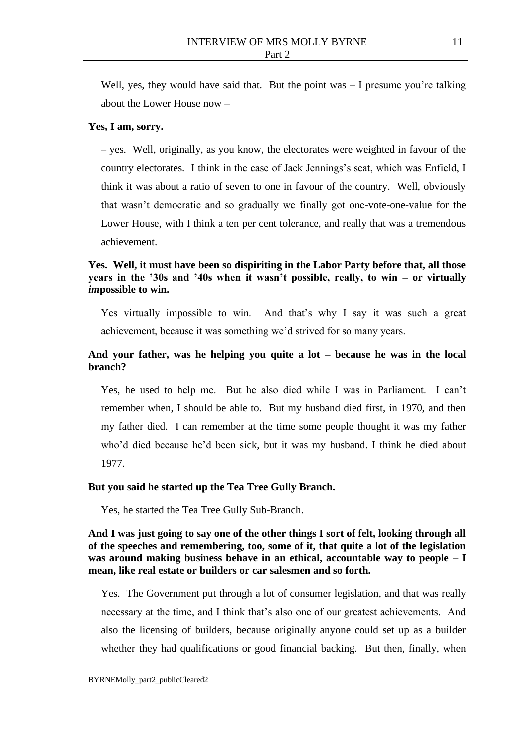Well, yes, they would have said that. But the point was  $-1$  presume you're talking about the Lower House now –

#### **Yes, I am, sorry.**

– yes. Well, originally, as you know, the electorates were weighted in favour of the country electorates. I think in the case of Jack Jennings's seat, which was Enfield, I think it was about a ratio of seven to one in favour of the country. Well, obviously that wasn't democratic and so gradually we finally got one-vote-one-value for the Lower House, with I think a ten per cent tolerance, and really that was a tremendous achievement.

## **Yes. Well, it must have been so dispiriting in the Labor Party before that, all those years in the '30s and '40s when it wasn't possible, really, to win – or virtually**  *im***possible to win.**

Yes virtually impossible to win. And that's why I say it was such a great achievement, because it was something we'd strived for so many years.

## **And your father, was he helping you quite a lot – because he was in the local branch?**

Yes, he used to help me. But he also died while I was in Parliament. I can't remember when, I should be able to. But my husband died first, in 1970, and then my father died. I can remember at the time some people thought it was my father who'd died because he'd been sick, but it was my husband. I think he died about 1977.

#### **But you said he started up the Tea Tree Gully Branch.**

Yes, he started the Tea Tree Gully Sub-Branch.

## **And I was just going to say one of the other things I sort of felt, looking through all of the speeches and remembering, too, some of it, that quite a lot of the legislation was around making business behave in an ethical, accountable way to people – I mean, like real estate or builders or car salesmen and so forth.**

Yes. The Government put through a lot of consumer legislation, and that was really necessary at the time, and I think that's also one of our greatest achievements. And also the licensing of builders, because originally anyone could set up as a builder whether they had qualifications or good financial backing. But then, finally, when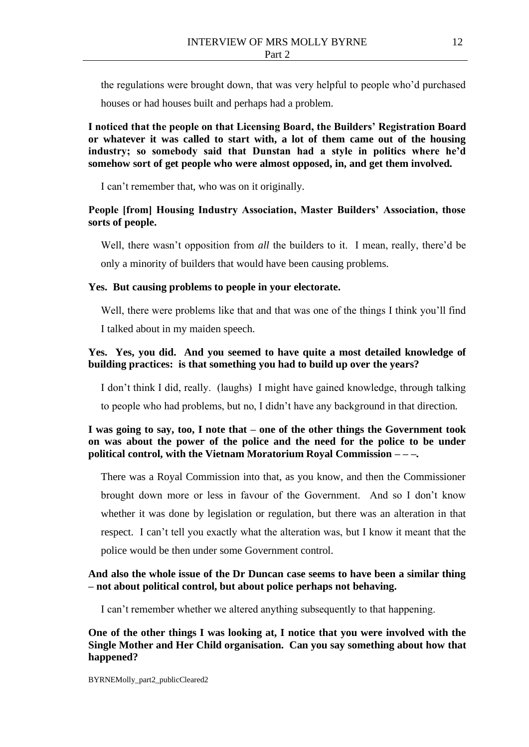the regulations were brought down, that was very helpful to people who'd purchased houses or had houses built and perhaps had a problem.

**I noticed that the people on that Licensing Board, the Builders' Registration Board or whatever it was called to start with, a lot of them came out of the housing industry; so somebody said that Dunstan had a style in politics where he'd somehow sort of get people who were almost opposed, in, and get them involved.** 

I can't remember that, who was on it originally.

## **People [from] Housing Industry Association, Master Builders' Association, those sorts of people.**

Well, there wasn't opposition from *all* the builders to it. I mean, really, there'd be only a minority of builders that would have been causing problems.

# **Yes. But causing problems to people in your electorate.**

Well, there were problems like that and that was one of the things I think you'll find

I talked about in my maiden speech.

## **Yes. Yes, you did. And you seemed to have quite a most detailed knowledge of building practices: is that something you had to build up over the years?**

I don't think I did, really. (laughs) I might have gained knowledge, through talking

to people who had problems, but no, I didn't have any background in that direction.

## **I was going to say, too, I note that – one of the other things the Government took on was about the power of the police and the need for the police to be under political control, with the Vietnam Moratorium Royal Commission – – –.**

There was a Royal Commission into that, as you know, and then the Commissioner brought down more or less in favour of the Government. And so I don't know whether it was done by legislation or regulation, but there was an alteration in that respect. I can't tell you exactly what the alteration was, but I know it meant that the police would be then under some Government control.

## **And also the whole issue of the Dr Duncan case seems to have been a similar thing – not about political control, but about police perhaps not behaving.**

I can't remember whether we altered anything subsequently to that happening.

## **One of the other things I was looking at, I notice that you were involved with the Single Mother and Her Child organisation. Can you say something about how that happened?**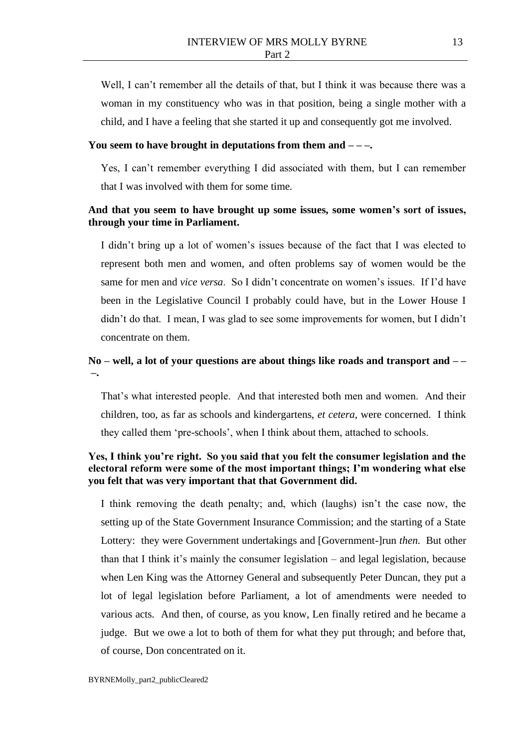Well, I can't remember all the details of that, but I think it was because there was a woman in my constituency who was in that position, being a single mother with a child, and I have a feeling that she started it up and consequently got me involved.

### **You seem to have brought in deputations from them and – – –.**

Yes, I can't remember everything I did associated with them, but I can remember that I was involved with them for some time.

## **And that you seem to have brought up some issues, some women's sort of issues, through your time in Parliament.**

I didn't bring up a lot of women's issues because of the fact that I was elected to represent both men and women, and often problems say of women would be the same for men and *vice versa*. So I didn't concentrate on women's issues. If I'd have been in the Legislative Council I probably could have, but in the Lower House I didn't do that. I mean, I was glad to see some improvements for women, but I didn't concentrate on them.

## **No – well, a lot of your questions are about things like roads and transport and – – –.**

That's what interested people. And that interested both men and women. And their children, too, as far as schools and kindergartens, *et cetera*, were concerned. I think they called them 'pre-schools', when I think about them, attached to schools.

## **Yes, I think you're right. So you said that you felt the consumer legislation and the electoral reform were some of the most important things; I'm wondering what else you felt that was very important that that Government did.**

I think removing the death penalty; and, which (laughs) isn't the case now, the setting up of the State Government Insurance Commission; and the starting of a State Lottery: they were Government undertakings and [Government-]run *then*. But other than that I think it's mainly the consumer legislation – and legal legislation, because when Len King was the Attorney General and subsequently Peter Duncan, they put a lot of legal legislation before Parliament, a lot of amendments were needed to various acts. And then, of course, as you know, Len finally retired and he became a judge. But we owe a lot to both of them for what they put through; and before that, of course, Don concentrated on it.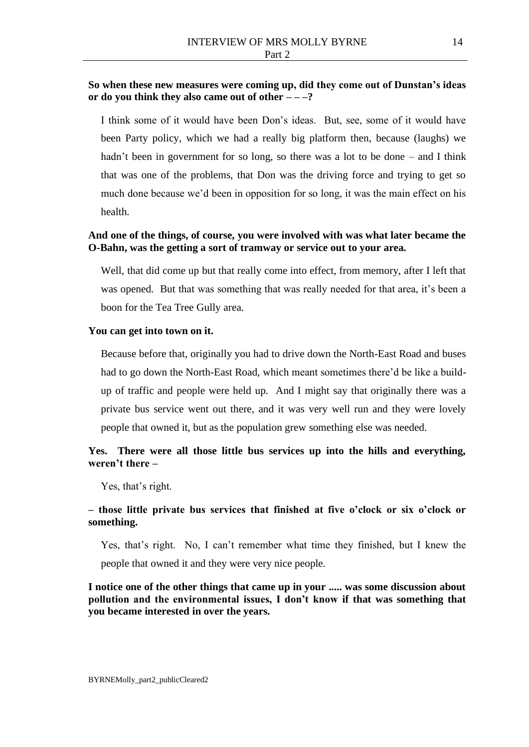## **So when these new measures were coming up, did they come out of Dunstan's ideas or do you think they also came out of other – – –?**

I think some of it would have been Don's ideas. But, see, some of it would have been Party policy, which we had a really big platform then, because (laughs) we hadn't been in government for so long, so there was a lot to be done – and I think that was one of the problems, that Don was the driving force and trying to get so much done because we'd been in opposition for so long, it was the main effect on his health.

## **And one of the things, of course, you were involved with was what later became the O-Bahn, was the getting a sort of tramway or service out to your area.**

Well, that did come up but that really come into effect, from memory, after I left that was opened. But that was something that was really needed for that area, it's been a boon for the Tea Tree Gully area.

#### **You can get into town on it.**

Because before that, originally you had to drive down the North-East Road and buses had to go down the North-East Road, which meant sometimes there'd be like a buildup of traffic and people were held up. And I might say that originally there was a private bus service went out there, and it was very well run and they were lovely people that owned it, but as the population grew something else was needed.

## **Yes. There were all those little bus services up into the hills and everything, weren't there –**

Yes, that's right.

## **– those little private bus services that finished at five o'clock or six o'clock or something.**

Yes, that's right. No, I can't remember what time they finished, but I knew the people that owned it and they were very nice people.

**I notice one of the other things that came up in your ..... was some discussion about pollution and the environmental issues, I don't know if that was something that you became interested in over the years.**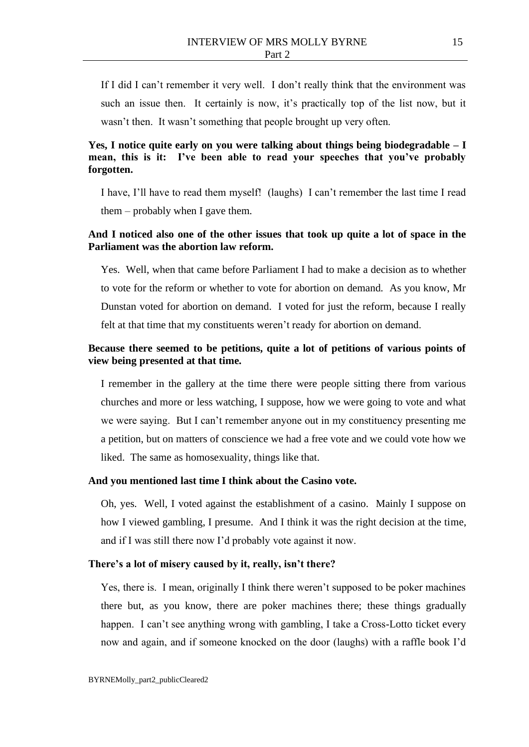If I did I can't remember it very well. I don't really think that the environment was such an issue then. It certainly is now, it's practically top of the list now, but it wasn't then. It wasn't something that people brought up very often.

## **Yes, I notice quite early on you were talking about things being biodegradable – I mean, this is it: I've been able to read your speeches that you've probably forgotten.**

I have, I'll have to read them myself! (laughs) I can't remember the last time I read them – probably when I gave them.

## **And I noticed also one of the other issues that took up quite a lot of space in the Parliament was the abortion law reform.**

Yes. Well, when that came before Parliament I had to make a decision as to whether to vote for the reform or whether to vote for abortion on demand. As you know, Mr Dunstan voted for abortion on demand. I voted for just the reform, because I really felt at that time that my constituents weren't ready for abortion on demand.

## **Because there seemed to be petitions, quite a lot of petitions of various points of view being presented at that time.**

I remember in the gallery at the time there were people sitting there from various churches and more or less watching, I suppose, how we were going to vote and what we were saying. But I can't remember anyone out in my constituency presenting me a petition, but on matters of conscience we had a free vote and we could vote how we liked. The same as homosexuality, things like that.

### **And you mentioned last time I think about the Casino vote.**

Oh, yes. Well, I voted against the establishment of a casino. Mainly I suppose on how I viewed gambling, I presume. And I think it was the right decision at the time, and if I was still there now I'd probably vote against it now.

### **There's a lot of misery caused by it, really, isn't there?**

Yes, there is. I mean, originally I think there weren't supposed to be poker machines there but, as you know, there are poker machines there; these things gradually happen. I can't see anything wrong with gambling, I take a Cross-Lotto ticket every now and again, and if someone knocked on the door (laughs) with a raffle book I'd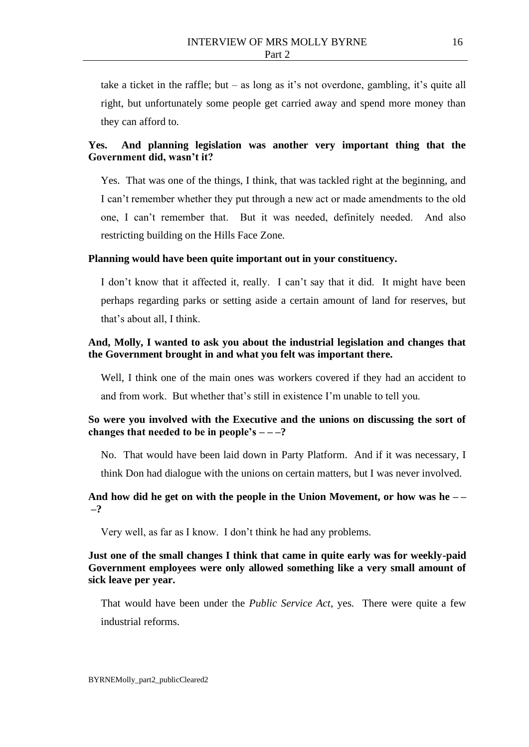take a ticket in the raffle; but – as long as it's not overdone, gambling, it's quite all right, but unfortunately some people get carried away and spend more money than they can afford to.

## **Yes. And planning legislation was another very important thing that the Government did, wasn't it?**

Yes. That was one of the things, I think, that was tackled right at the beginning, and I can't remember whether they put through a new act or made amendments to the old one, I can't remember that. But it was needed, definitely needed. And also restricting building on the Hills Face Zone.

### **Planning would have been quite important out in your constituency.**

I don't know that it affected it, really. I can't say that it did. It might have been perhaps regarding parks or setting aside a certain amount of land for reserves, but that's about all, I think.

### **And, Molly, I wanted to ask you about the industrial legislation and changes that the Government brought in and what you felt was important there.**

Well, I think one of the main ones was workers covered if they had an accident to and from work. But whether that's still in existence I'm unable to tell you.

## **So were you involved with the Executive and the unions on discussing the sort of changes that needed to be in people's – – –?**

No. That would have been laid down in Party Platform. And if it was necessary, I

think Don had dialogue with the unions on certain matters, but I was never involved.

### **And how did he get on with the people in the Union Movement, or how was he – – –?**

Very well, as far as I know. I don't think he had any problems.

## **Just one of the small changes I think that came in quite early was for weekly-paid Government employees were only allowed something like a very small amount of sick leave per year.**

That would have been under the *Public Service Act*, yes. There were quite a few industrial reforms.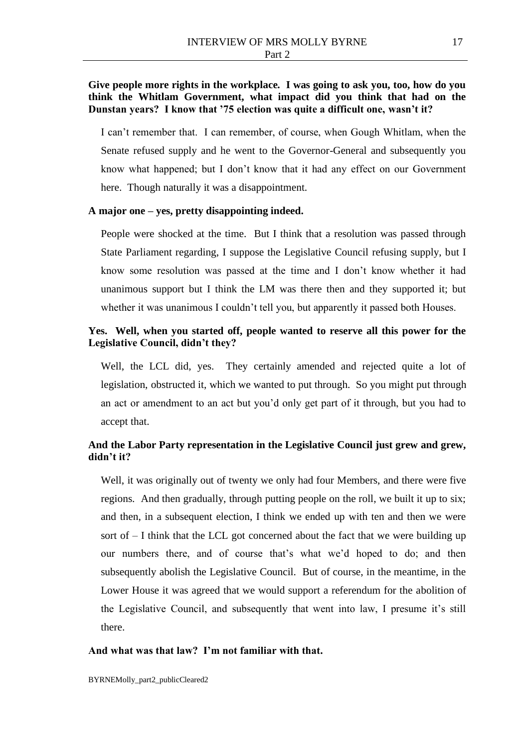## **Give people more rights in the workplace. I was going to ask you, too, how do you think the Whitlam Government, what impact did you think that had on the Dunstan years? I know that '75 election was quite a difficult one, wasn't it?**

I can't remember that. I can remember, of course, when Gough Whitlam, when the Senate refused supply and he went to the Governor-General and subsequently you know what happened; but I don't know that it had any effect on our Government here. Though naturally it was a disappointment.

### **A major one – yes, pretty disappointing indeed.**

People were shocked at the time. But I think that a resolution was passed through State Parliament regarding, I suppose the Legislative Council refusing supply, but I know some resolution was passed at the time and I don't know whether it had unanimous support but I think the LM was there then and they supported it; but whether it was unanimous I couldn't tell you, but apparently it passed both Houses.

## **Yes. Well, when you started off, people wanted to reserve all this power for the Legislative Council, didn't they?**

Well, the LCL did, yes. They certainly amended and rejected quite a lot of legislation, obstructed it, which we wanted to put through. So you might put through an act or amendment to an act but you'd only get part of it through, but you had to accept that.

## **And the Labor Party representation in the Legislative Council just grew and grew, didn't it?**

Well, it was originally out of twenty we only had four Members, and there were five regions. And then gradually, through putting people on the roll, we built it up to six; and then, in a subsequent election, I think we ended up with ten and then we were sort of  $-I$  think that the LCL got concerned about the fact that we were building up our numbers there, and of course that's what we'd hoped to do; and then subsequently abolish the Legislative Council. But of course, in the meantime, in the Lower House it was agreed that we would support a referendum for the abolition of the Legislative Council, and subsequently that went into law, I presume it's still there.

### **And what was that law? I'm not familiar with that.**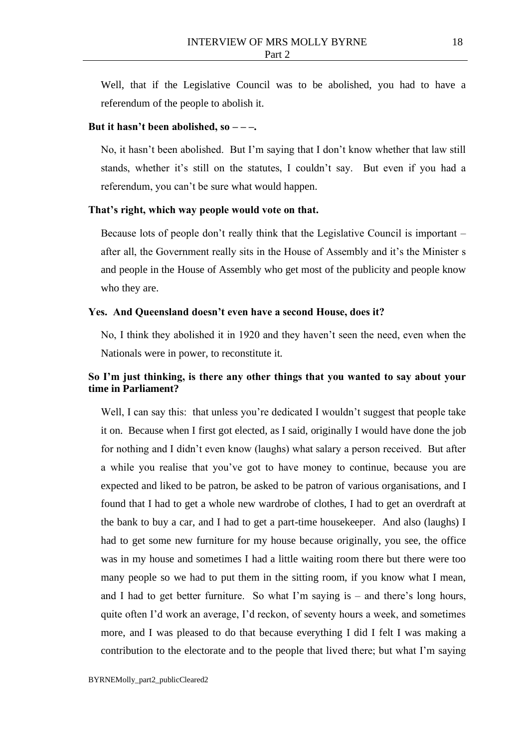Well, that if the Legislative Council was to be abolished, you had to have a referendum of the people to abolish it.

#### **But it hasn't been abolished, so – – –.**

No, it hasn't been abolished. But I'm saying that I don't know whether that law still stands, whether it's still on the statutes, I couldn't say. But even if you had a referendum, you can't be sure what would happen.

### **That's right, which way people would vote on that.**

Because lots of people don't really think that the Legislative Council is important – after all, the Government really sits in the House of Assembly and it's the Minister s and people in the House of Assembly who get most of the publicity and people know who they are.

### **Yes. And Queensland doesn't even have a second House, does it?**

No, I think they abolished it in 1920 and they haven't seen the need, even when the Nationals were in power, to reconstitute it.

## **So I'm just thinking, is there any other things that you wanted to say about your time in Parliament?**

Well, I can say this: that unless you're dedicated I wouldn't suggest that people take it on. Because when I first got elected, as I said, originally I would have done the job for nothing and I didn't even know (laughs) what salary a person received. But after a while you realise that you've got to have money to continue, because you are expected and liked to be patron, be asked to be patron of various organisations, and I found that I had to get a whole new wardrobe of clothes, I had to get an overdraft at the bank to buy a car, and I had to get a part-time housekeeper. And also (laughs) I had to get some new furniture for my house because originally, you see, the office was in my house and sometimes I had a little waiting room there but there were too many people so we had to put them in the sitting room, if you know what I mean, and I had to get better furniture. So what I'm saying is – and there's long hours, quite often I'd work an average, I'd reckon, of seventy hours a week, and sometimes more, and I was pleased to do that because everything I did I felt I was making a contribution to the electorate and to the people that lived there; but what I'm saying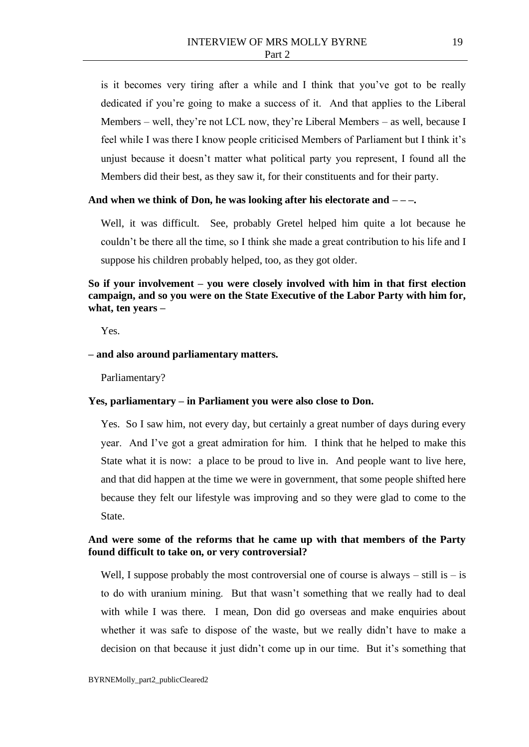is it becomes very tiring after a while and I think that you've got to be really dedicated if you're going to make a success of it. And that applies to the Liberal Members – well, they're not LCL now, they're Liberal Members – as well, because I feel while I was there I know people criticised Members of Parliament but I think it's unjust because it doesn't matter what political party you represent, I found all the Members did their best, as they saw it, for their constituents and for their party.

## **And when we think of Don, he was looking after his electorate and – – –.**

Well, it was difficult. See, probably Gretel helped him quite a lot because he couldn't be there all the time, so I think she made a great contribution to his life and I suppose his children probably helped, too, as they got older.

## **So if your involvement – you were closely involved with him in that first election campaign, and so you were on the State Executive of the Labor Party with him for, what, ten years –**

Yes.

### **– and also around parliamentary matters.**

Parliamentary?

#### **Yes, parliamentary – in Parliament you were also close to Don.**

Yes. So I saw him, not every day, but certainly a great number of days during every year. And I've got a great admiration for him. I think that he helped to make this State what it is now: a place to be proud to live in. And people want to live here, and that did happen at the time we were in government, that some people shifted here because they felt our lifestyle was improving and so they were glad to come to the State.

## **And were some of the reforms that he came up with that members of the Party found difficult to take on, or very controversial?**

Well, I suppose probably the most controversial one of course is always  $-$  still is  $-$  is to do with uranium mining. But that wasn't something that we really had to deal with while I was there. I mean, Don did go overseas and make enquiries about whether it was safe to dispose of the waste, but we really didn't have to make a decision on that because it just didn't come up in our time. But it's something that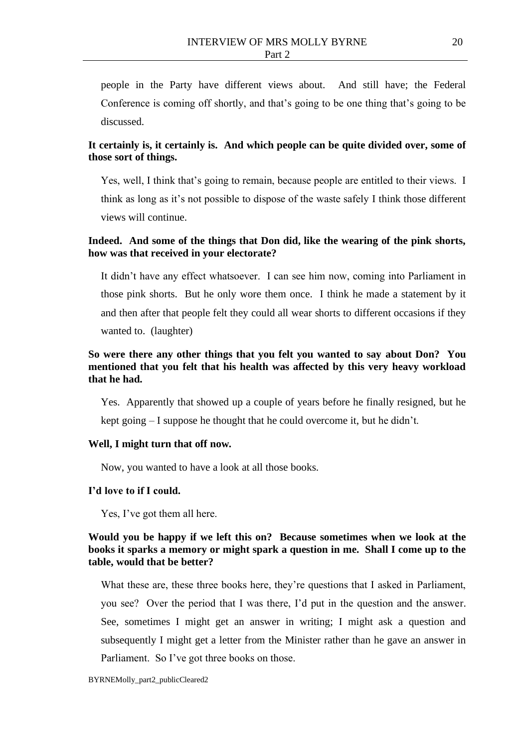people in the Party have different views about. And still have; the Federal Conference is coming off shortly, and that's going to be one thing that's going to be discussed.

## **It certainly is, it certainly is. And which people can be quite divided over, some of those sort of things.**

Yes, well, I think that's going to remain, because people are entitled to their views. I think as long as it's not possible to dispose of the waste safely I think those different views will continue.

## **Indeed. And some of the things that Don did, like the wearing of the pink shorts, how was that received in your electorate?**

It didn't have any effect whatsoever. I can see him now, coming into Parliament in those pink shorts. But he only wore them once. I think he made a statement by it and then after that people felt they could all wear shorts to different occasions if they wanted to. (laughter)

## **So were there any other things that you felt you wanted to say about Don? You mentioned that you felt that his health was affected by this very heavy workload that he had.**

Yes. Apparently that showed up a couple of years before he finally resigned, but he kept going – I suppose he thought that he could overcome it, but he didn't.

### **Well, I might turn that off now.**

Now, you wanted to have a look at all those books.

#### **I'd love to if I could.**

Yes, I've got them all here.

## **Would you be happy if we left this on? Because sometimes when we look at the books it sparks a memory or might spark a question in me. Shall I come up to the table, would that be better?**

What these are, these three books here, they're questions that I asked in Parliament, you see? Over the period that I was there, I'd put in the question and the answer. See, sometimes I might get an answer in writing; I might ask a question and subsequently I might get a letter from the Minister rather than he gave an answer in Parliament. So I've got three books on those.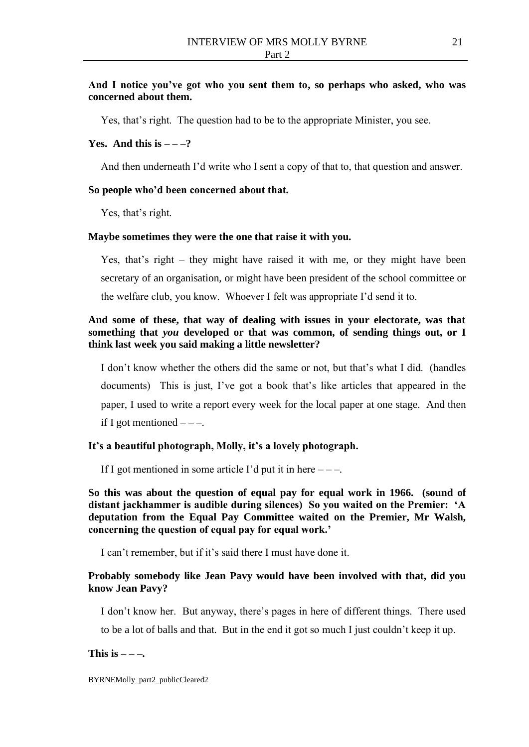### **And I notice you've got who you sent them to, so perhaps who asked, who was concerned about them.**

Yes, that's right. The question had to be to the appropriate Minister, you see.

#### **Yes.** And this is  $-\frac{2}{3}$

And then underneath I'd write who I sent a copy of that to, that question and answer.

### **So people who'd been concerned about that.**

Yes, that's right.

### **Maybe sometimes they were the one that raise it with you.**

Yes, that's right – they might have raised it with me, or they might have been secretary of an organisation, or might have been president of the school committee or the welfare club, you know. Whoever I felt was appropriate I'd send it to.

## **And some of these, that way of dealing with issues in your electorate, was that something that** *you* **developed or that was common, of sending things out, or I think last week you said making a little newsletter?**

I don't know whether the others did the same or not, but that's what I did. (handles documents) This is just, I've got a book that's like articles that appeared in the paper, I used to write a report every week for the local paper at one stage. And then if I got mentioned  $---$ .

### **It's a beautiful photograph, Molly, it's a lovely photograph.**

If I got mentioned in some article I'd put it in here  $---$ .

## **So this was about the question of equal pay for equal work in 1966. (sound of distant jackhammer is audible during silences) So you waited on the Premier: 'A deputation from the Equal Pay Committee waited on the Premier, Mr Walsh, concerning the question of equal pay for equal work.'**

I can't remember, but if it's said there I must have done it.

## **Probably somebody like Jean Pavy would have been involved with that, did you know Jean Pavy?**

I don't know her. But anyway, there's pages in here of different things. There used

to be a lot of balls and that. But in the end it got so much I just couldn't keep it up.

### **This is**  $-\frac{1}{2}$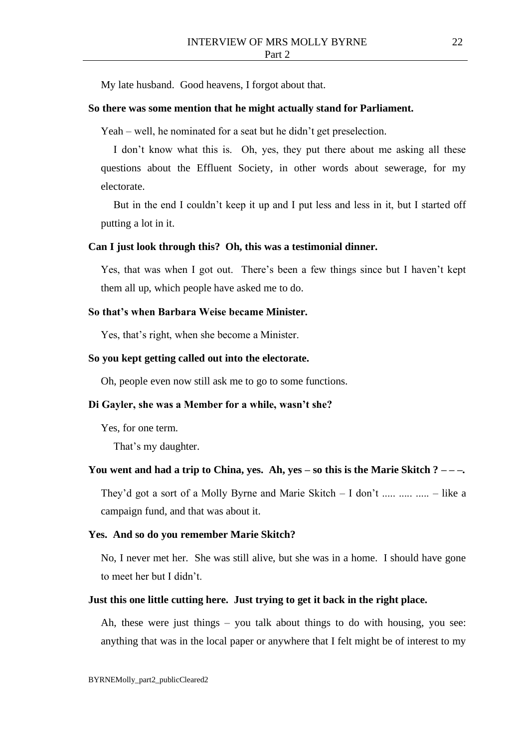My late husband. Good heavens, I forgot about that.

### **So there was some mention that he might actually stand for Parliament.**

Yeah – well, he nominated for a seat but he didn't get preselection.

I don't know what this is. Oh, yes, they put there about me asking all these questions about the Effluent Society, in other words about sewerage, for my electorate.

But in the end I couldn't keep it up and I put less and less in it, but I started off putting a lot in it.

### **Can I just look through this? Oh, this was a testimonial dinner.**

Yes, that was when I got out. There's been a few things since but I haven't kept them all up, which people have asked me to do.

### **So that's when Barbara Weise became Minister.**

Yes, that's right, when she become a Minister.

#### **So you kept getting called out into the electorate.**

Oh, people even now still ask me to go to some functions.

#### **Di Gayler, she was a Member for a while, wasn't she?**

Yes, for one term.

That's my daughter.

#### **You went and had a trip to China, yes. Ah, yes – so this is the Marie Skitch ? – – –.**

They'd got a sort of a Molly Byrne and Marie Skitch  $-1$  don't ..... .....  $-1$  like a campaign fund, and that was about it.

#### **Yes. And so do you remember Marie Skitch?**

No, I never met her. She was still alive, but she was in a home. I should have gone to meet her but I didn't.

#### **Just this one little cutting here. Just trying to get it back in the right place.**

Ah, these were just things – you talk about things to do with housing, you see: anything that was in the local paper or anywhere that I felt might be of interest to my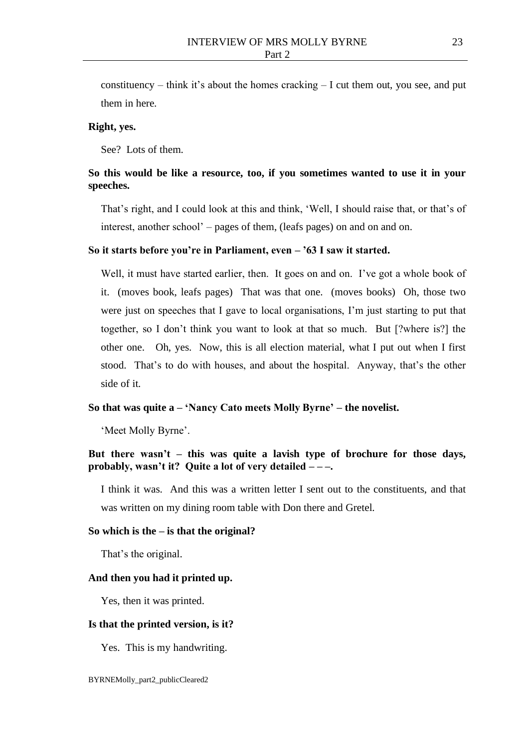constituency – think it's about the homes cracking – I cut them out, you see, and put them in here.

#### **Right, yes.**

See? Lots of them.

## **So this would be like a resource, too, if you sometimes wanted to use it in your speeches.**

That's right, and I could look at this and think, 'Well, I should raise that, or that's of interest, another school' – pages of them, (leafs pages) on and on and on.

### **So it starts before you're in Parliament, even – '63 I saw it started.**

Well, it must have started earlier, then. It goes on and on. I've got a whole book of it. (moves book, leafs pages) That was that one. (moves books) Oh, those two were just on speeches that I gave to local organisations, I'm just starting to put that together, so I don't think you want to look at that so much. But [?where is?] the other one. Oh, yes. Now, this is all election material, what I put out when I first stood. That's to do with houses, and about the hospital. Anyway, that's the other side of it.

### **So that was quite a – 'Nancy Cato meets Molly Byrne' – the novelist.**

'Meet Molly Byrne'.

## **But there wasn't – this was quite a lavish type of brochure for those days, probably, wasn't it? Quite a lot of very detailed – – –.**

I think it was. And this was a written letter I sent out to the constituents, and that was written on my dining room table with Don there and Gretel.

### **So which is the – is that the original?**

That's the original.

### **And then you had it printed up.**

Yes, then it was printed.

#### **Is that the printed version, is it?**

Yes. This is my handwriting.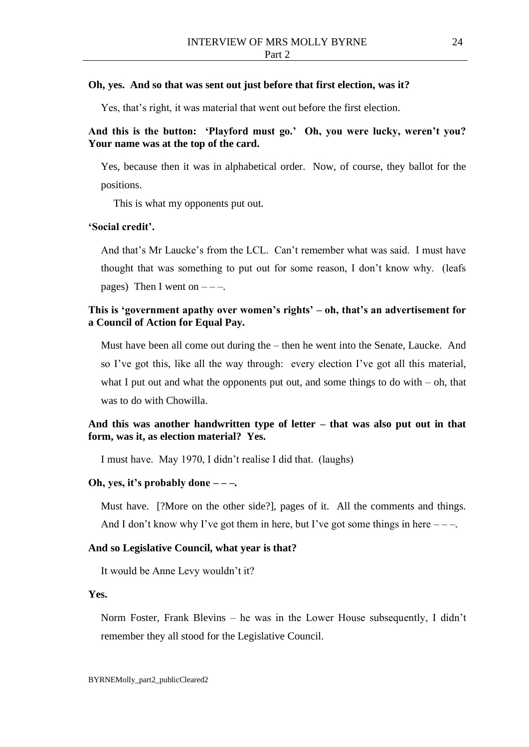### **Oh, yes. And so that was sent out just before that first election, was it?**

Yes, that's right, it was material that went out before the first election.

**And this is the button: 'Playford must go.' Oh, you were lucky, weren't you? Your name was at the top of the card.**

Yes, because then it was in alphabetical order. Now, of course, they ballot for the positions.

This is what my opponents put out.

### **'Social credit'.**

And that's Mr Laucke's from the LCL. Can't remember what was said. I must have thought that was something to put out for some reason, I don't know why. (leafs pages) Then I went on  $---$ .

## **This is 'government apathy over women's rights' – oh, that's an advertisement for a Council of Action for Equal Pay.**

Must have been all come out during the – then he went into the Senate, Laucke. And so I've got this, like all the way through: every election I've got all this material, what I put out and what the opponents put out, and some things to do with  $-$  oh, that was to do with Chowilla.

## **And this was another handwritten type of letter – that was also put out in that form, was it, as election material? Yes.**

I must have. May 1970, I didn't realise I did that. (laughs)

#### **Oh, yes, it's probably done – – –.**

Must have. [?More on the other side?], pages of it. All the comments and things.

And I don't know why I've got them in here, but I've got some things in here  $---$ .

### **And so Legislative Council, what year is that?**

It would be Anne Levy wouldn't it?

### **Yes.**

Norm Foster, Frank Blevins – he was in the Lower House subsequently, I didn't remember they all stood for the Legislative Council.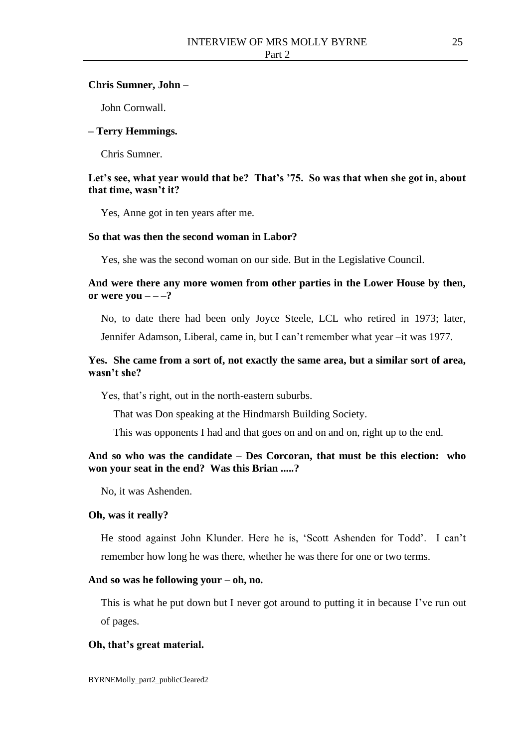### **Chris Sumner, John –**

John Cornwall.

### **– Terry Hemmings.**

Chris Sumner.

## **Let's see, what year would that be? That's '75. So was that when she got in, about that time, wasn't it?**

Yes, Anne got in ten years after me.

### **So that was then the second woman in Labor?**

Yes, she was the second woman on our side. But in the Legislative Council.

## **And were there any more women from other parties in the Lower House by then,**  or were you  $---?$

No, to date there had been only Joyce Steele, LCL who retired in 1973; later,

Jennifer Adamson, Liberal, came in, but I can't remember what year –it was 1977.

## **Yes. She came from a sort of, not exactly the same area, but a similar sort of area, wasn't she?**

Yes, that's right, out in the north-eastern suburbs.

That was Don speaking at the Hindmarsh Building Society.

This was opponents I had and that goes on and on and on, right up to the end.

## **And so who was the candidate – Des Corcoran, that must be this election: who won your seat in the end? Was this Brian .....?**

No, it was Ashenden.

#### **Oh, was it really?**

He stood against John Klunder. Here he is, 'Scott Ashenden for Todd'. I can't remember how long he was there, whether he was there for one or two terms.

#### **And so was he following your – oh, no.**

This is what he put down but I never got around to putting it in because I've run out of pages.

### **Oh, that's great material.**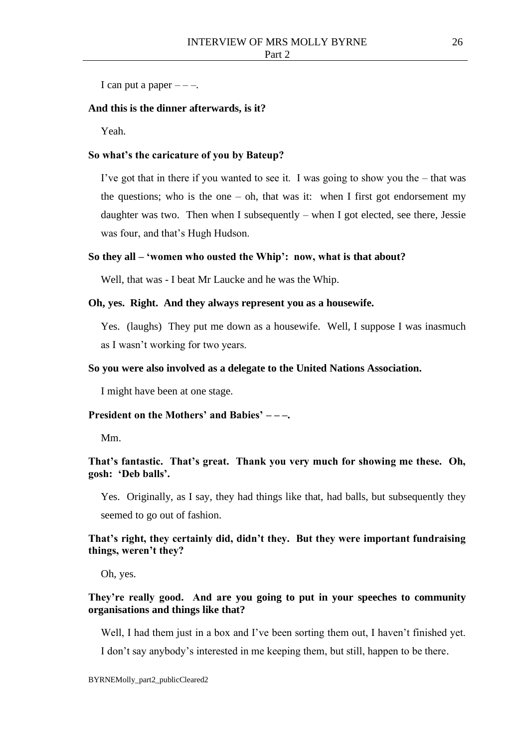I can put a paper  $---$ .

### **And this is the dinner afterwards, is it?**

Yeah.

## **So what's the caricature of you by Bateup?**

I've got that in there if you wanted to see it. I was going to show you the – that was the questions; who is the one – oh, that was it: when I first got endorsement my daughter was two. Then when I subsequently – when I got elected, see there, Jessie was four, and that's Hugh Hudson.

### **So they all – 'women who ousted the Whip': now, what is that about?**

Well, that was - I beat Mr Laucke and he was the Whip.

#### **Oh, yes. Right. And they always represent you as a housewife.**

Yes. (laughs) They put me down as a housewife. Well, I suppose I was inasmuch as I wasn't working for two years.

#### **So you were also involved as a delegate to the United Nations Association.**

I might have been at one stage.

### **President on the Mothers' and Babies' – – –.**

Mm.

## **That's fantastic. That's great. Thank you very much for showing me these. Oh, gosh: 'Deb balls'.**

Yes. Originally, as I say, they had things like that, had balls, but subsequently they seemed to go out of fashion.

## **That's right, they certainly did, didn't they. But they were important fundraising things, weren't they?**

Oh, yes.

## **They're really good. And are you going to put in your speeches to community organisations and things like that?**

Well, I had them just in a box and I've been sorting them out, I haven't finished yet.

I don't say anybody's interested in me keeping them, but still, happen to be there.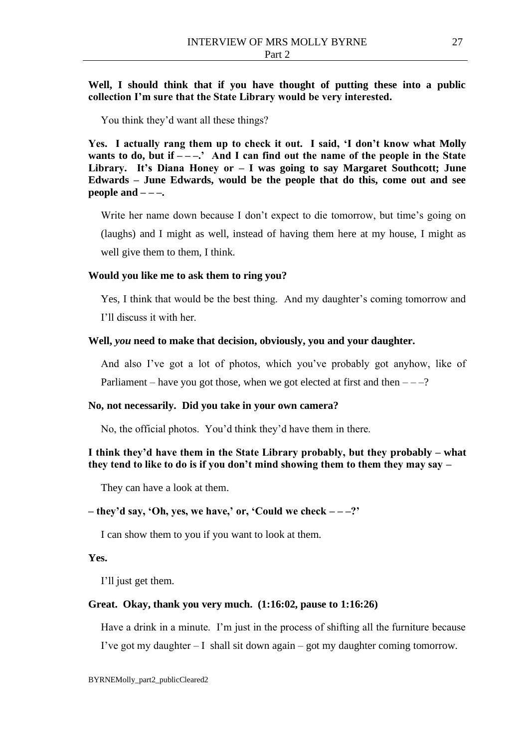**Well, I should think that if you have thought of putting these into a public collection I'm sure that the State Library would be very interested.**

You think they'd want all these things?

**Yes. I actually rang them up to check it out. I said, 'I don't know what Molly wants to do, but if – – –.' And I can find out the name of the people in the State Library. It's Diana Honey or – I was going to say Margaret Southcott; June Edwards – June Edwards, would be the people that do this, come out and see people and**  $-\frac{1}{2}$ 

Write her name down because I don't expect to die tomorrow, but time's going on (laughs) and I might as well, instead of having them here at my house, I might as well give them to them, I think.

### **Would you like me to ask them to ring you?**

Yes, I think that would be the best thing. And my daughter's coming tomorrow and I'll discuss it with her.

#### **Well,** *you* **need to make that decision, obviously, you and your daughter.**

And also I've got a lot of photos, which you've probably got anyhow, like of Parliament – have you got those, when we got elected at first and then  $---?$ 

### **No, not necessarily. Did you take in your own camera?**

No, the official photos. You'd think they'd have them in there.

## **I think they'd have them in the State Library probably, but they probably – what they tend to like to do is if you don't mind showing them to them they may say –**

They can have a look at them.

### **– they'd say, 'Oh, yes, we have,' or, 'Could we check – – –?'**

I can show them to you if you want to look at them.

### **Yes.**

I'll just get them.

#### **Great. Okay, thank you very much. (1:16:02, pause to 1:16:26)**

Have a drink in a minute. I'm just in the process of shifting all the furniture because I've got my daughter – I shall sit down again – got my daughter coming tomorrow.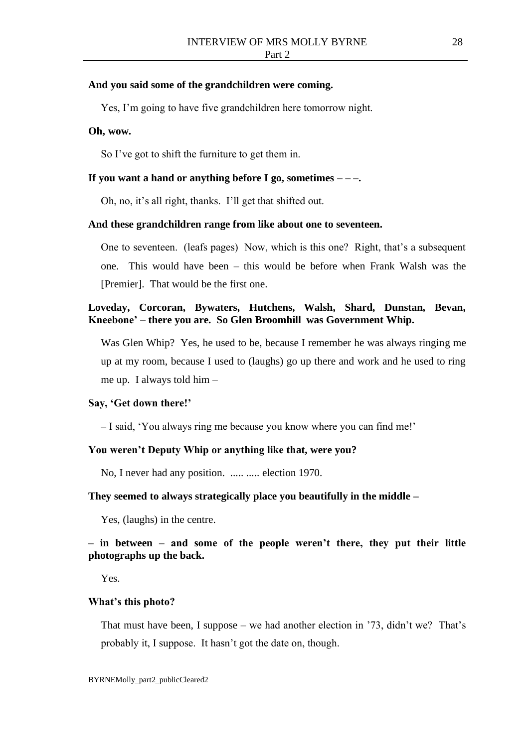### **And you said some of the grandchildren were coming.**

Yes, I'm going to have five grandchildren here tomorrow night.

## **Oh, wow.**

So I've got to shift the furniture to get them in.

#### **If you want a hand or anything before I go, sometimes – – –.**

Oh, no, it's all right, thanks. I'll get that shifted out.

#### **And these grandchildren range from like about one to seventeen.**

One to seventeen. (leafs pages) Now, which is this one? Right, that's a subsequent one. This would have been – this would be before when Frank Walsh was the [Premier]. That would be the first one.

## **Loveday, Corcoran, Bywaters, Hutchens, Walsh, Shard, Dunstan, Bevan, Kneebone' – there you are. So Glen Broomhill was Government Whip.**

Was Glen Whip? Yes, he used to be, because I remember he was always ringing me up at my room, because I used to (laughs) go up there and work and he used to ring me up. I always told him –

### **Say, 'Get down there!'**

– I said, 'You always ring me because you know where you can find me!'

### **You weren't Deputy Whip or anything like that, were you?**

No, I never had any position. ..... ..... election 1970.

### **They seemed to always strategically place you beautifully in the middle –**

Yes, (laughs) in the centre.

## **– in between – and some of the people weren't there, they put their little photographs up the back.**

Yes.

#### **What's this photo?**

That must have been, I suppose – we had another election in '73, didn't we? That's probably it, I suppose. It hasn't got the date on, though.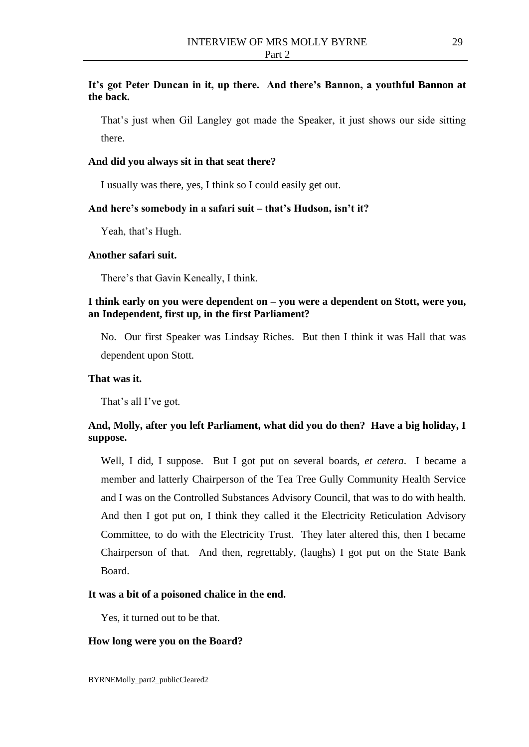## **It's got Peter Duncan in it, up there. And there's Bannon, a youthful Bannon at the back.**

That's just when Gil Langley got made the Speaker, it just shows our side sitting there.

### **And did you always sit in that seat there?**

I usually was there, yes, I think so I could easily get out.

### **And here's somebody in a safari suit – that's Hudson, isn't it?**

Yeah, that's Hugh.

### **Another safari suit.**

There's that Gavin Keneally, I think.

## **I think early on you were dependent on – you were a dependent on Stott, were you, an Independent, first up, in the first Parliament?**

No. Our first Speaker was Lindsay Riches. But then I think it was Hall that was dependent upon Stott.

### **That was it.**

That's all I've got.

## **And, Molly, after you left Parliament, what did you do then? Have a big holiday, I suppose.**

Well, I did, I suppose. But I got put on several boards, *et cetera*. I became a member and latterly Chairperson of the Tea Tree Gully Community Health Service and I was on the Controlled Substances Advisory Council, that was to do with health. And then I got put on, I think they called it the Electricity Reticulation Advisory Committee, to do with the Electricity Trust. They later altered this, then I became Chairperson of that. And then, regrettably, (laughs) I got put on the State Bank Board.

#### **It was a bit of a poisoned chalice in the end.**

Yes, it turned out to be that.

### **How long were you on the Board?**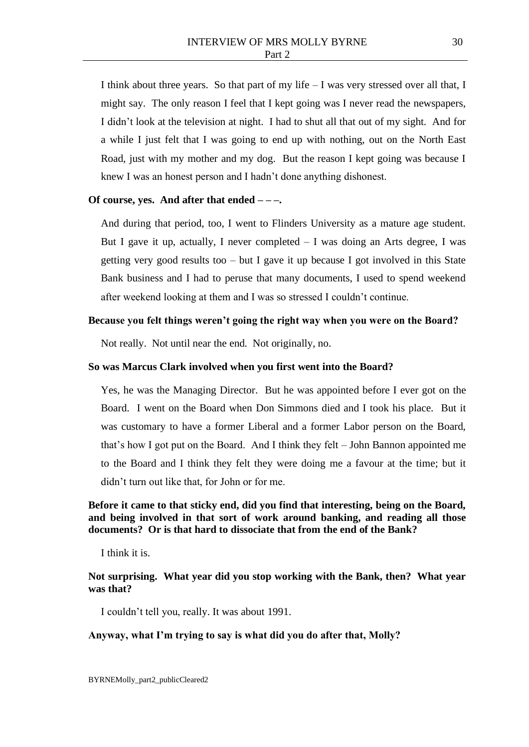I think about three years. So that part of my life – I was very stressed over all that, I might say. The only reason I feel that I kept going was I never read the newspapers, I didn't look at the television at night. I had to shut all that out of my sight. And for a while I just felt that I was going to end up with nothing, out on the North East Road, just with my mother and my dog. But the reason I kept going was because I knew I was an honest person and I hadn't done anything dishonest.

### **Of course, yes. And after that ended – – –.**

And during that period, too, I went to Flinders University as a mature age student. But I gave it up, actually, I never completed  $-$  I was doing an Arts degree, I was getting very good results too – but I gave it up because I got involved in this State Bank business and I had to peruse that many documents, I used to spend weekend after weekend looking at them and I was so stressed I couldn't continue.

#### **Because you felt things weren't going the right way when you were on the Board?**

Not really. Not until near the end. Not originally, no.

### **So was Marcus Clark involved when you first went into the Board?**

Yes, he was the Managing Director. But he was appointed before I ever got on the Board. I went on the Board when Don Simmons died and I took his place. But it was customary to have a former Liberal and a former Labor person on the Board, that's how I got put on the Board. And I think they felt – John Bannon appointed me to the Board and I think they felt they were doing me a favour at the time; but it didn't turn out like that, for John or for me.

## **Before it came to that sticky end, did you find that interesting, being on the Board, and being involved in that sort of work around banking, and reading all those documents? Or is that hard to dissociate that from the end of the Bank?**

I think it is.

## **Not surprising. What year did you stop working with the Bank, then? What year was that?**

I couldn't tell you, really. It was about 1991.

### **Anyway, what I'm trying to say is what did you do after that, Molly?**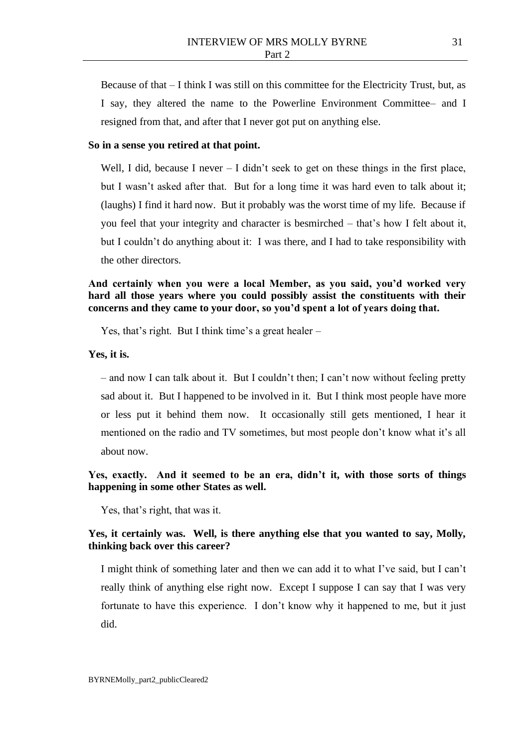Because of that – I think I was still on this committee for the Electricity Trust, but, as I say, they altered the name to the Powerline Environment Committee– and I resigned from that, and after that I never got put on anything else.

### **So in a sense you retired at that point.**

Well, I did, because I never – I didn't seek to get on these things in the first place, but I wasn't asked after that. But for a long time it was hard even to talk about it; (laughs) I find it hard now. But it probably was the worst time of my life. Because if you feel that your integrity and character is besmirched – that's how I felt about it, but I couldn't do anything about it: I was there, and I had to take responsibility with the other directors.

## **And certainly when you were a local Member, as you said, you'd worked very hard all those years where you could possibly assist the constituents with their concerns and they came to your door, so you'd spent a lot of years doing that.**

Yes, that's right. But I think time's a great healer –

**Yes, it is.**

– and now I can talk about it. But I couldn't then; I can't now without feeling pretty sad about it. But I happened to be involved in it. But I think most people have more or less put it behind them now. It occasionally still gets mentioned, I hear it mentioned on the radio and TV sometimes, but most people don't know what it's all about now.

**Yes, exactly. And it seemed to be an era, didn't it, with those sorts of things happening in some other States as well.**

Yes, that's right, that was it.

## **Yes, it certainly was. Well, is there anything else that you wanted to say, Molly, thinking back over this career?**

I might think of something later and then we can add it to what I've said, but I can't really think of anything else right now. Except I suppose I can say that I was very fortunate to have this experience. I don't know why it happened to me, but it just did.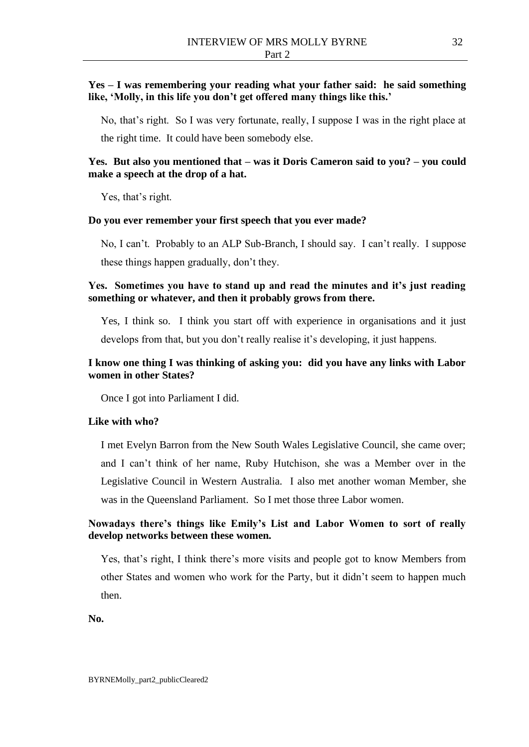## **Yes – I was remembering your reading what your father said: he said something like, 'Molly, in this life you don't get offered many things like this.'**

No, that's right. So I was very fortunate, really, I suppose I was in the right place at the right time. It could have been somebody else.

## **Yes. But also you mentioned that – was it Doris Cameron said to you? – you could make a speech at the drop of a hat.**

Yes, that's right.

## **Do you ever remember your first speech that you ever made?**

No, I can't. Probably to an ALP Sub-Branch, I should say. I can't really. I suppose these things happen gradually, don't they.

## **Yes. Sometimes you have to stand up and read the minutes and it's just reading something or whatever, and then it probably grows from there.**

Yes, I think so. I think you start off with experience in organisations and it just develops from that, but you don't really realise it's developing, it just happens.

## **I know one thing I was thinking of asking you: did you have any links with Labor women in other States?**

Once I got into Parliament I did.

### **Like with who?**

I met Evelyn Barron from the New South Wales Legislative Council, she came over; and I can't think of her name, Ruby Hutchison, she was a Member over in the Legislative Council in Western Australia. I also met another woman Member, she was in the Queensland Parliament. So I met those three Labor women.

## **Nowadays there's things like Emily's List and Labor Women to sort of really develop networks between these women.**

Yes, that's right, I think there's more visits and people got to know Members from other States and women who work for the Party, but it didn't seem to happen much then.

**No.**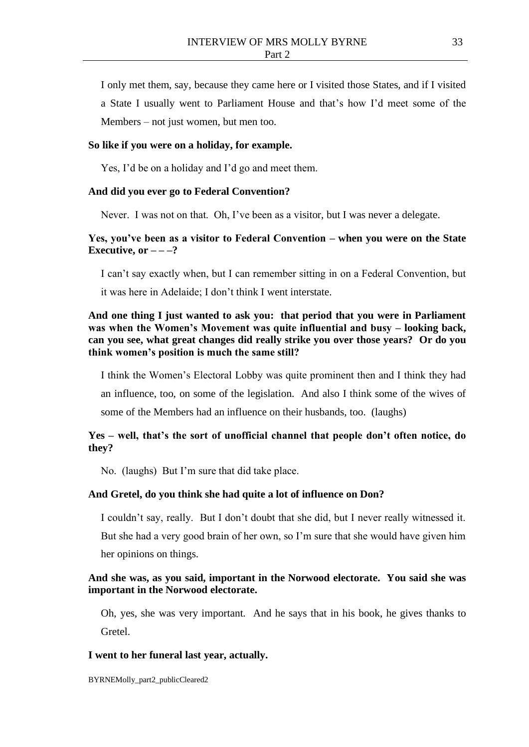I only met them, say, because they came here or I visited those States, and if I visited a State I usually went to Parliament House and that's how I'd meet some of the Members – not just women, but men too.

### **So like if you were on a holiday, for example.**

Yes, I'd be on a holiday and I'd go and meet them.

### **And did you ever go to Federal Convention?**

Never. I was not on that. Oh, I've been as a visitor, but I was never a delegate.

## **Yes, you've been as a visitor to Federal Convention – when you were on the State Executive, or**  $---?$

I can't say exactly when, but I can remember sitting in on a Federal Convention, but it was here in Adelaide; I don't think I went interstate.

## **And one thing I just wanted to ask you: that period that you were in Parliament was when the Women's Movement was quite influential and busy – looking back, can you see, what great changes did really strike you over those years? Or do you think women's position is much the same still?**

I think the Women's Electoral Lobby was quite prominent then and I think they had an influence, too, on some of the legislation. And also I think some of the wives of some of the Members had an influence on their husbands, too. (laughs)

## **Yes – well, that's the sort of unofficial channel that people don't often notice, do they?**

No. (laughs) But I'm sure that did take place.

### **And Gretel, do you think she had quite a lot of influence on Don?**

I couldn't say, really. But I don't doubt that she did, but I never really witnessed it.

But she had a very good brain of her own, so I'm sure that she would have given him her opinions on things.

## **And she was, as you said, important in the Norwood electorate. You said she was important in the Norwood electorate.**

Oh, yes, she was very important. And he says that in his book, he gives thanks to Gretel.

#### **I went to her funeral last year, actually.**